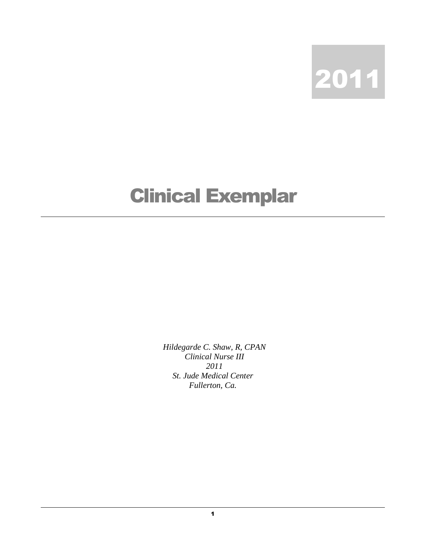

## Clinical Exemplar

*Hildegarde C. Shaw, R, CPAN Clinical Nurse III 2011 St. Jude Medical Center Fullerton, Ca.*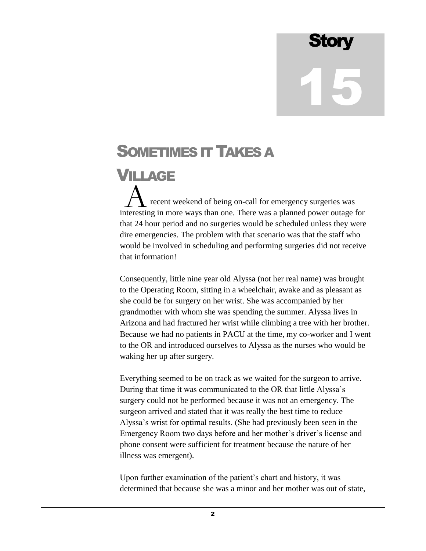## **Story** 15

## SOMETIMES IT TAKES A

## VILLAGE

 recent weekend of being on**-**call for emergency surgeries was A recent weekend of being on-call for emergency surgeries was interesting in more ways than one. There was a planned power outage for that 24 hour period and no surgeries would be scheduled unless they were dire emergencies. The problem with that scenario was that the staff who would be involved in scheduling and performing surgeries did not receive that information!

Consequently, little nine year old Alyssa (not her real name) was brought to the Operating Room, sitting in a wheelchair, awake and as pleasant as she could be for surgery on her wrist. She was accompanied by her grandmother with whom she was spending the summer. Alyssa lives in Arizona and had fractured her wrist while climbing a tree with her brother. Because we had no patients in PACU at the time, my co-worker and I went to the OR and introduced ourselves to Alyssa as the nurses who would be waking her up after surgery.

Everything seemed to be on track as we waited for the surgeon to arrive. During that time it was communicated to the OR that little Alyssa's surgery could not be performed because it was not an emergency. The surgeon arrived and stated that it was really the best time to reduce Alyssa's wrist for optimal results. (She had previously been seen in the Emergency Room two days before and her mother's driver's license and phone consent were sufficient for treatment because the nature of her illness was emergent).

Upon further examination of the patient's chart and history, it was determined that because she was a minor and her mother was out of state,